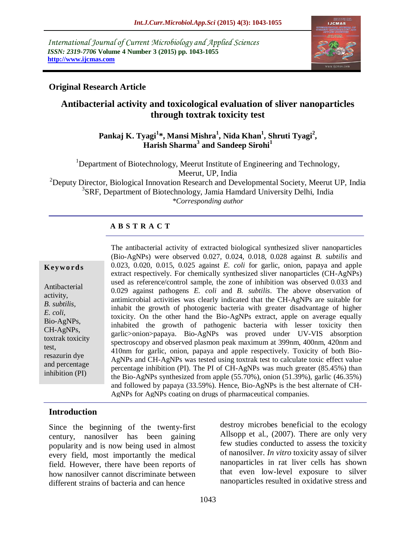*International Journal of Current Microbiology and Applied Sciences ISSN: 2319-7706* **Volume 4 Number 3 (2015) pp. 1043-1055 http://www.ijcmas.com** 



# **Original Research Article**

# **Antibacterial activity and toxicological evaluation of sliver nanoparticles through toxtrak toxicity test**

## **Pankaj K. Tyagi<sup>1</sup> \*, Mansi Mishra<sup>1</sup> , Nida Khan<sup>1</sup> , Shruti Tyagi<sup>2</sup> , Harish Sharma<sup>3</sup> and Sandeep Sirohi<sup>1</sup>**

<sup>1</sup>Department of Biotechnology, Meerut Institute of Engineering and Technology, Meerut, UP, India

 $2$ Deputy Director, Biological Innovation Research and Developmental Society, Meerut UP, India <sup>3</sup>SRF, Department of Biotechnology, Jamia Hamdard University Delhi, India *\*Corresponding author*

## **A B S T R A C T**

#### **K ey w o rd s**

Antibacterial activity, *B. subtilis, E. coli,*  Bio-AgNPs, CH-AgNPs, toxtrak toxicity test, resazurin dye and percentage inhibition (PI)

The antibacterial activity of extracted biological synthesized sliver nanoparticles (Bio-AgNPs) were observed 0.027, 0.024, 0.018, 0.028 against *B. subtilis* and 0.023, 0.020, 0.015, 0.025 against *E. coli* for garlic, onion, papaya and apple extract respectively. For chemically synthesized sliver nanoparticles (CH-AgNPs) used as reference/control sample, the zone of inhibition was observed 0.033 and 0.029 against pathogens *E. coli* and *B. subtilis*. The above observation of antimicrobial activities was clearly indicated that the CH-AgNPs are suitable for inhabit the growth of photogenic bacteria with greater disadvantage of higher toxicity. On the other hand the Bio-AgNPs extract, apple on average equally inhabited the growth of pathogenic bacteria with lesser toxicity then garlic>onion>papaya. Bio-AgNPs was proved under UV-VIS absorption spectroscopy and observed plasmon peak maximum at 399nm, 400nm, 420nm and 410nm for garlic, onion, papaya and apple respectively. Toxicity of both Bio-AgNPs and CH-AgNPs was tested using toxtrak test to calculate toxic effect value percentage inhibition (PI). The PI of CH-AgNPs was much greater (85.45%) than the Bio-AgNPs synthesized from apple (55.70%), onion (51.39%), garlic (46.35%) and followed by papaya (33.59%). Hence, Bio-AgNPs is the best alternate of CH-AgNPs for AgNPs coating on drugs of pharmaceutical companies.

## **Introduction**

Since the beginning of the twenty-first century, nanosilver has been gaining popularity and is now being used in almost every field, most importantly the medical field. However, there have been reports of how nanosilver cannot discriminate between different strains of bacteria and can hence

destroy microbes beneficial to the ecology Allsopp et al., (2007). There are only very few studies conducted to assess the toxicity of nanosilver. *In vitro* toxicity assay of silver nanoparticles in rat liver cells has shown that even low-level exposure to silver nanoparticles resulted in oxidative stress and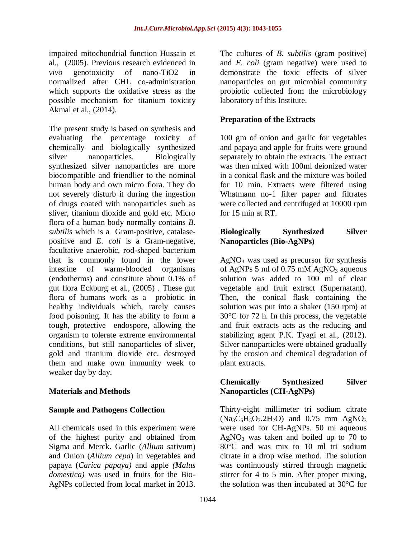impaired mitochondrial function Hussain et al., (2005). Previous research evidenced in *vivo* genotoxicity of nano-TiO2 in normalized after CHL co-administration which supports the oxidative stress as the possible mechanism for titanium toxicity Akmal et al., (2014).

The present study is based on synthesis and evaluating the percentage toxicity of chemically and biologically synthesized silver nanoparticles. Biologically synthesized silver nanoparticles are more biocompatible and friendlier to the nominal human body and own micro flora. They do not severely disturb it during the ingestion of drugs coated with nanoparticles such as sliver, titanium dioxide and gold etc. Micro flora of a human body normally contains *B. subtilis* which is a [Gram-positive,](http://en.wikipedia.org/wiki/Gram-positive) [catalase](http://en.wikipedia.org/wiki/Catalase)positive and *E. coli* is a Gram-negative, facultative anaerobic, rod-shaped bacterium that is commonly found in the lower intestine of warm-blooded organisms (endotherms) and constitute about 0.1% of gut flora Eckburg et al., (2005) . These gut flora of humans work as a [probiotic](http://en.wikipedia.org/wiki/Probiotic) in healthy individuals which, rarely causes food poisoning. It has the ability to form a tough, protective [endospore,](http://en.wikipedia.org/wiki/Endospore) allowing the organism to tolerate extreme environmental conditions, but still nanoparticles of sliver, gold and titanium dioxide etc. destroyed them and make own immunity week to weaker day by day.

## **Materials and Methods**

## **Sample and Pathogens Collection**

All chemicals used in this experiment were of the highest purity and obtained from Sigma and Merck. Garlic (*Allium* sativum) and Onion (*Allium cepa*) in vegetables and papaya (*Carica papaya)* and apple *(Malus domestica)* was used in fruits for the Bio-AgNPs collected from local market in 2013.

The cultures of *B. subtilis* (gram positive) and *E. coli* (gram negative) were used to demonstrate the toxic effects of silver nanoparticles on gut microbial community probiotic collected from the microbiology laboratory of this Institute.

## **Preparation of the Extracts**

100 gm of onion and garlic for vegetables and papaya and apple for fruits were ground separately to obtain the extracts. The extract was then mixed with 100ml deionized water in a conical flask and the mixture was boiled for 10 min. Extracts were filtered using Whatmann no-1 filter paper and filtrates were collected and centrifuged at 10000 rpm for 15 min at RT.

## **Biologically Synthesized Silver Nanoparticles (Bio-AgNPs)**

 $AgNO<sub>3</sub>$  was used as precursor for synthesis of AgNPs 5 ml of 0.75 mM AgNO<sub>3</sub> aqueous solution was added to 100 ml of clear vegetable and fruit extract (Supernatant). Then, the conical flask containing the solution was put into a shaker (150 rpm) at 30°C for 72 h. In this process, the vegetable and fruit extracts acts as the reducing and stabilizing agent P.K. Tyagi et al., (2012). Silver nanoparticles were obtained gradually by the erosion and chemical degradation of plant extracts.

## **Chemically Synthesized Silver Nanoparticles (CH-AgNPs)**

Thirty-eight millimeter tri sodium citrate  $(Na_3C_6H_5O_7.2H_2O)$  and 0.75 mm AgNO<sub>3</sub> were used for CH-AgNPs. 50 ml aqueous  $AgNO<sub>3</sub>$  was taken and boiled up to 70 to 80°C and was mix to 10 ml tri sodium citrate in a drop wise method. The solution was continuously stirred through magnetic stirrer for 4 to 5 min. After proper mixing, the solution was then incubated at 30°C for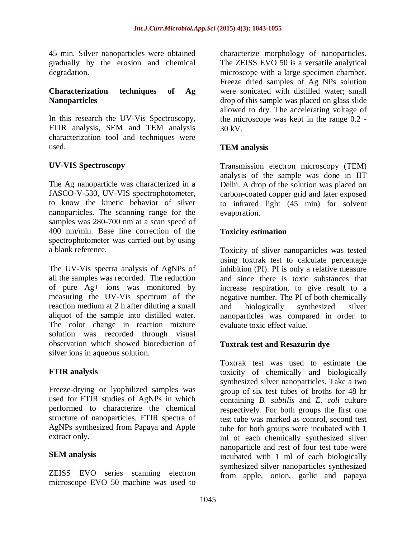45 min. Silver nanoparticles were obtained gradually by the erosion and chemical degradation.

#### **Characterization techniques of Ag Nanoparticles**

In this research the UV-Vis Spectroscopy, FTIR analysis, SEM and TEM analysis characterization tool and techniques were used.

## **UV-VIS Spectroscopy**

The Ag nanoparticle was characterized in a JASCO-V-530, UV-VIS spectrophotometer, to know the kinetic behavior of silver nanoparticles. The scanning range for the samples was 280-700 nm at a scan speed of 400 nm/min. Base line correction of the spectrophotometer was carried out by using a blank reference.

The UV-Vis spectra analysis of AgNPs of all the samples was recorded. The reduction of pure Ag+ ions was monitored by measuring the UV-Vis spectrum of the reaction medium at 2 h after diluting a small aliquot of the sample into distilled water. The color change in reaction mixture solution was recorded through visual observation which showed bioreduction of silver ions in aqueous solution.

## **FTIR analysis**

Freeze-drying or lyophilized samples was used for FTIR studies of AgNPs in which performed to characterize the chemical structure of nanoparticles. FTIR spectra of AgNPs synthesized from Papaya and Apple extract only.

## **SEM analysis**

ZEISS EVO series scanning electron microscope EVO 50 machine was used to

characterize morphology of nanoparticles. The ZEISS EVO 50 is a versatile analytical microscope with a large specimen chamber. Freeze dried samples of Ag NPs solution were sonicated with distilled water; small drop of this sample was placed on glass slide allowed to dry. The accelerating voltage of the microscope was kept in the range 0.2 - 30 kV.

## **TEM analysis**

Transmission electron microscopy (TEM) analysis of the sample was done in IIT Delhi. A drop of the solution was placed on carbon-coated copper grid and later exposed to infrared light (45 min) for solvent evaporation.

## **Toxicity estimation**

Toxicity of sliver nanoparticles was tested using toxtrak test to calculate percentage inhibition (PI). PI is only a relative measure and since there is toxic substances that increase respiration, to give result to a negative number. The PI of both chemically and biologically synthesized silver nanoparticles was compared in order to evaluate toxic effect value.

## **Toxtrak test and Resazurin dye**

Toxtrak test was used to estimate the toxicity of chemically and biologically synthesized silver nanoparticles. Take a two group of six test tubes of broths for 48 hr containing *B. subtilis* and *E. coli* culture respectively. For both groups the first one test tube was marked as control, second test tube for both groups were incubated with 1 ml of each chemically synthesized silver nanoparticle and rest of four test tube were incubated with 1 ml of each biologically synthesized silver nanoparticles synthesized from apple, onion, garlic and papaya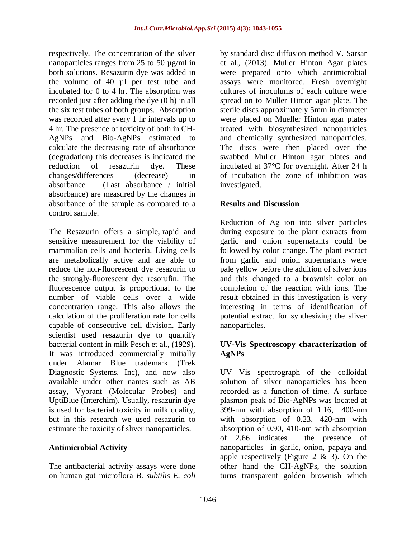respectively. The concentration of the silver nanoparticles ranges from 25 to 50 µg/ml in both solutions. Resazurin dye was added in the volume of 40 µl per test tube and incubated for 0 to 4 hr. The absorption was recorded just after adding the dye (0 h) in all the six test tubes of both groups. Absorption was recorded after every 1 hr intervals up to 4 hr. The presence of toxicity of both in CH-AgNPs and Bio-AgNPs estimated to calculate the decreasing rate of absorbance (degradation) this decreases is indicated the reduction of resazurin dye. These changes/differences (decrease) in absorbance (Last absorbance / initial absorbance) are measured by the changes in absorbance of the sample as compared to a control sample.

The Resazurin offers a simple, rapid and sensitive measurement for the viability of mammalian cells and bacteria. Living cells are metabolically active and are able to reduce the non-fluorescent dye resazurin to the strongly-fluorescent dye resorufin. The fluorescence output is proportional to the number of viable cells over a wide concentration range. This also allows the calculation of the proliferation rate for cells capable of consecutive cell division. Early scientist used resazurin dye to quantify bacterial content in milk Pesch et al., (1929). It was introduced commercially initially under Alamar Blue trademark (Trek Diagnostic Systems, Inc), and now also available under other names such as AB assay, Vybrant (Molecular Probes) and UptiBlue (Interchim). Usually, resazurin dye is used for bacterial toxicity in milk quality, but in this research we used resazurin to estimate the toxicity of sliver nanoparticles.

## **Antimicrobial Activity**

The antibacterial activity assays were done on human gut microflora *B. subtilis E. coli*  by standard disc diffusion method V. Sarsar et al., (2013). Muller Hinton Agar plates were prepared onto which antimicrobial assays were monitored. Fresh overnight cultures of inoculums of each culture were spread on to Muller Hinton agar plate. The sterile discs approximately 5mm in diameter were placed on Mueller Hinton agar plates treated with biosynthesized nanoparticles and chemically synthesized nanoparticles. The discs were then placed over the swabbed Muller Hinton agar plates and incubated at 37°C for overnight. After 24 h of incubation the zone of inhibition was investigated.

## **Results and Discussion**

Reduction of Ag ion into silver particles during exposure to the plant extracts from garlic and onion supernatants could be followed by color change. The plant extract from garlic and onion supernatants were pale yellow before the addition of silver ions and this changed to a brownish color on completion of the reaction with ions. The result obtained in this investigation is very interesting in terms of identification of potential extract for synthesizing the sliver nanoparticles.

## **UV-Vis Spectroscopy characterization of AgNPs**

UV Vis spectrograph of the colloidal solution of silver nanoparticles has been recorded as a function of time. A surface plasmon peak of Bio-AgNPs was located at 399-nm with absorption of 1.16, 400-nm with absorption of 0.23, 420-nm with absorption of 0.90, 410-nm with absorption of 2.66 indicates the presence of nanoparticles in garlic, onion, papaya and apple respectively (Figure  $2 \& 3$ ). On the other hand the CH-AgNPs, the solution turns transparent golden brownish which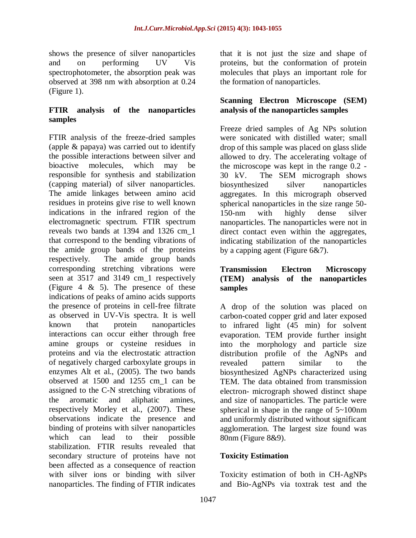shows the presence of silver nanoparticles and on performing UV Vis spectrophotometer, the absorption peak was observed at 398 nm with absorption at 0.24 (Figure 1).

#### **FTIR analysis of the nanoparticles samples**

FTIR analysis of the freeze-dried samples (apple & papaya) was carried out to identify the possible interactions between silver and bioactive molecules, which may be responsible for synthesis and stabilization (capping material) of silver nanoparticles. The amide linkages between amino acid residues in proteins give rise to well known indications in the infrared region of the electromagnetic spectrum. FTIR spectrum reveals two bands at 1394 and 1326 cm\_1 that correspond to the bending vibrations of the amide group bands of the proteins respectively. The amide group bands corresponding stretching vibrations were seen at 3517 and 3149 cm\_1 respectively (Figure 4  $\&$  5). The presence of these indications of peaks of amino acids supports the presence of proteins in cell-free filtrate as observed in UV-Vis spectra. It is well known that protein nanoparticles interactions can occur either through free amine groups or cysteine residues in proteins and via the electrostatic attraction of negatively charged carboxylate groups in enzymes Alt et al., (2005). The two bands observed at 1500 and 1255 cm\_1 can be assigned to the C-N stretching vibrations of the aromatic and aliphatic amines, respectively Morley et al., (2007). These observations indicate the presence and binding of proteins with silver nanoparticles which can lead to their possible stabilization. FTIR results revealed that secondary structure of proteins have not been affected as a consequence of reaction with silver ions or binding with silver nanoparticles. The finding of FTIR indicates

that it is not just the size and shape of proteins, but the conformation of protein molecules that plays an important role for the formation of nanoparticles.

## **Scanning Electron Microscope (SEM) analysis of the nanoparticles samples**

Freeze dried samples of Ag NPs solution were sonicated with distilled water; small drop of this sample was placed on glass slide allowed to dry. The accelerating voltage of the microscope was kept in the range 0.2 - 30 kV. The SEM micrograph shows biosynthesized silver nanoparticles aggregates. In this micrograph observed spherical nanoparticles in the size range 50- 150-nm with highly dense silver nanoparticles. The nanoparticles were not in direct contact even within the aggregates, indicating stabilization of the nanoparticles by a capping agent (Figure 6&7).

## **Transmission Electron Microscopy (TEM) analysis of the nanoparticles samples**

A drop of the solution was placed on carbon-coated copper grid and later exposed to infrared light (45 min) for solvent evaporation. TEM provide further insight into the morphology and particle size distribution profile of the AgNPs and revealed pattern similar to the biosynthesized AgNPs characterized using TEM. The data obtained from transmission electron- micrograph showed distinct shape and size of nanoparticles. The particle were spherical in shape in the range of 5~100nm and uniformly distributed without significant agglomeration. The largest size found was 80nm (Figure 8&9).

## **Toxicity Estimation**

Toxicity estimation of both in CH-AgNPs and Bio-AgNPs via toxtrak test and the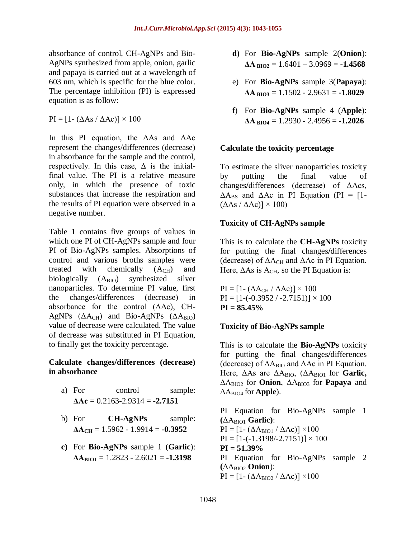absorbance of control, CH-AgNPs and Bio-AgNPs synthesized from apple, onion, garlic and papaya is carried out at a wavelength of 603 nm, which is specific for the blue color. The percentage inhibition (PI) is expressed equation is as follow:

 $PI = [1 - (\Delta As / \Delta Ac)] \times 100$ 

In this PI equation, the ΔAs and ΔAc represent the changes/differences (decrease) in absorbance for the sample and the control, respectively. In this case,  $\Delta$  is the initialfinal value. The PI is a relative measure only, in which the presence of toxic substances that increase the respiration and the results of PI equation were observed in a negative number.

Table 1 contains five groups of values in which one PI of CH-AgNPs sample and four PI of Bio-AgNPs samples. Absorptions of control and various broths samples were treated with chemically  $(A<sub>CH</sub>)$  and biologically  $(A<sub>BIO</sub>)$  synthesized silver nanoparticles. To determine PI value, first the changes/differences (decrease) in absorbance for the control (ΔAc), CH**-**AgNPs  $(∆A<sub>CH</sub>)$  and Bio-AgNPs  $(∆A<sub>BIO</sub>)$ value of decrease were calculated. The value of decrease was substituted in PI Equation, to finally get the toxicity percentage.

#### **Calculate changes/differences (decrease) in absorbance**

- a) For control sample:  $\Delta$ **Ac** = 0.2163-2.9314 = **-2.7151**
- b) For **CH-AgNPs** sample:  $\Delta A_{CH} = 1.5962 - 1.9914 = -0.3952$
- **c)** For **Bio-AgNPs** sample 1 (**Garlic**):  $\Delta A_{\text{BIO1}} = 1.2823 - 2.6021 = -1.3198$
- **d)** For **Bio-AgNPs** sample 2(**Onion**):  $\Delta$ **A**  $_{\text{BIO2}}$  = 1.6401 – 3.0969 = **-1.4568**
- e) For **Bio-AgNPs** sample 3(**Papaya**):  $\Delta A_{\text{BIO3}} = 1.1502 - 2.9631 = -1.8029$
- f) For **Bio-AgNPs** sample 4 (**Apple**):  $\Delta$ **A BIO4** = 1.2930 - 2.4956 = **-1.2026**

## **Calculate the toxicity percentage**

To estimate the sliver nanoparticles toxicity by putting the final value of changes**/**differences (decrease) of ΔAcs,  $\Delta A_{BS}$  and  $\Delta A_c$  in PI Equation (PI = [1- $(\Delta As / \Delta Ac)$ ] × 100)

## **Toxicity of CH-AgNPs sample**

This is to calculate the **CH-AgNPs** toxicity for putting the final changes**/**differences (decrease) of  $\Delta A_{CH}$  and  $\Delta A_{C}$  in PI Equation. Here,  $\Delta$ As is A<sub>CH</sub>, so the PI Equation is:

 $PI = [1 - (\Delta A_{CH} / \Delta AC)] \times 100$  $PI = [1 - (-0.3952 / -2.7151)] \times 100$ **PI = 85.45%**

## **Toxicity of Bio-AgNPs sample**

This is to calculate the **Bio-AgNPs** toxicity for putting the final changes**/**differences (decrease) of  $\Delta A_{\text{BIO}}$  and  $\Delta A_{\text{C}}$  in PI Equation. Here, ΔAs are ΔABIO, (ΔABIO1 for **Garlic,**  ΔABIO2 for **Onion**, ΔABIO3 for **Papaya** and ΔABIO4 for **Apple**).

PI Equation for Bio-AgNPs sample 1 **(**ΔABIO1 **Garlic)**:  $PI = [1 - (\Delta A_{BIO1} / \Delta AC)] \times 100$  $PI = [1 - (-1.3198/-2.7151)] \times 100$ **PI = 51.39%** PI Equation for Bio-AgNPs sample 2 **(**ΔABIO2 **Onion**):  $PI = [1 - (\Delta A_{BIO2} / \Delta Ac)] \times 100$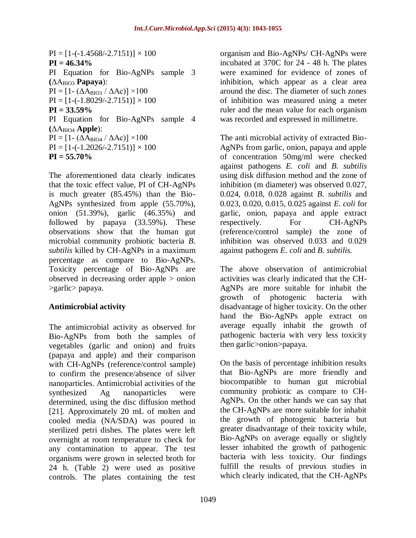$PI = [1 - (-1.4568/-2.7151)] \times 100$ **PI = 46.34%** PI Equation for Bio-AgNPs sample 3 **(**ΔABIO3 **Papaya**):  $PI = [1 - (\Delta A_{\text{BIO3}} / \Delta A c)] \times 100$  $PI = [1 - (-1.8029 / -2.7151)] \times 100$ **PI = 33.59%** PI Equation for Bio-AgNPs sample 4 **(**ΔABIO4 **Apple**):  $PI = [1 - (\Delta A_{BIO4} / \Delta AC)] \times 100$  $PI = [1 - (-1.2026/-2.7151)] \times 100$ **PI = 55.70%**

The aforementioned data clearly indicates that the toxic effect value, PI of CH-AgNPs is much greater (85.45%) than the Bio-AgNPs synthesized from apple (55.70%), onion (51.39%), garlic (46.35%) and followed by papaya (33.59%). These observations show that the human gut microbial community probiotic bacteria *B. subtilis* killed by CH-AgNPs in a maximum percentage as compare to Bio-AgNPs. Toxicity percentage of Bio-AgNPs are observed in decreasing order apple > onion >garlic> papaya.

## **Antimicrobial activity**

The antimicrobial activity as observed for Bio-AgNPs from both the samples of vegetables (garlic and onion) and fruits (papaya and apple) and their comparison with CH-AgNPs (reference/control sample) to confirm the presence/absence of silver nanoparticles. Antimicrobial activities of the synthesized Ag nanoparticles were determined, using the disc diffusion method [21]. Approximately 20 mL of molten and cooled media (NA/SDA) was poured in sterilized petri dishes. The plates were left overnight at room temperature to check for any contamination to appear. The test organisms were grown in selected broth for 24 h. (Table 2) were used as positive controls. The plates containing the test

organism and Bio-AgNPs/ CH-AgNPs were incubated at 370C for 24 - 48 h. The plates were examined for evidence of zones of inhibition, which appear as a clear area around the disc. The diameter of such zones of inhibition was measured using a meter ruler and the mean value for each organism was recorded and expressed in millimetre.

The anti microbial activity of extracted Bio-AgNPs from garlic, onion, papaya and apple of concentration 50mg/ml were checked against pathogens *E. coli* and *B. subtilis* using disk diffusion method and the zone of inhibition (m diameter) was observed 0.027, 0.024, 0.018, 0.028 against *B. subtilis* and 0.023, 0.020, 0.015, 0.025 against *E. coli* for garlic, onion, papaya and apple extract respectively. For CH-AgNPs (reference/control sample) the zone of inhibition was observed 0.033 and 0.029 against pathogens *E. coli* and *B. subtilis*.

The above observation of antimicrobial activities was clearly indicated that the CH-AgNPs are more suitable for inhabit the growth of photogenic bacteria with disadvantage of higher toxicity. On the other hand the Bio-AgNPs apple extract on average equally inhabit the growth of pathogenic bacteria with very less toxicity then garlic>onion>papaya.

On the basis of percentage inhibition results that Bio-AgNPs are more friendly and biocompatible to human gut microbial community probiotic as compare to CH-AgNPs. On the other hands we can say that the CH-AgNPs are more suitable for inhabit the growth of photogenic bacteria but greater disadvantage of their toxicity while, Bio-AgNPs on average equally or slightly lesser inhabited the growth of pathogenic bacteria with less toxicity. Our findings fulfill the results of previous studies in which clearly indicated, that the CH-AgNPs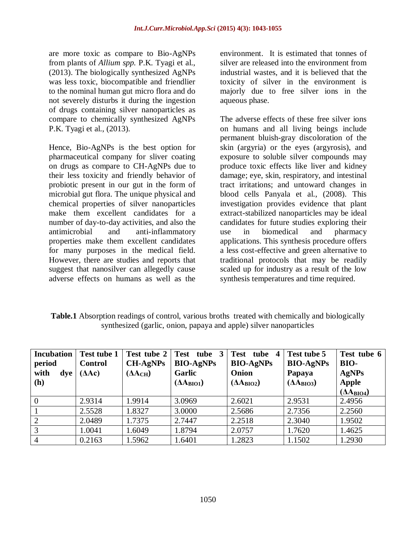are more toxic as compare to Bio-AgNPs from plants of *Allium spp.* P.K. Tyagi et al., (2013). The biologically synthesized AgNPs was less toxic, biocompatible and friendlier to the nominal human gut micro flora and do not severely disturbs it during the ingestion of drugs containing silver nanoparticles as compare to chemically synthesized AgNPs P.K. Tyagi et al., (2013).

Hence, Bio-AgNPs is the best option for pharmaceutical company for sliver coating on drugs as compare to CH-AgNPs due to their less toxicity and friendly behavior of probiotic present in our gut in the form of microbial gut flora. The unique physical and chemical properties of silver nanoparticles make them excellent candidates for a number of day-to-day activities, and also the antimicrobial and anti-inflammatory properties make them excellent candidates for many purposes in the medical field. However, there are studies and reports that suggest that nanosilver can allegedly cause adverse effects on humans as well as the

environment. It is estimated that tonnes of silver are released into the environment from industrial wastes, and it is believed that the toxicity of silver in the environment is majorly due to free silver ions in the aqueous phase.

The adverse effects of these free silver ions on humans and all living beings include permanent bluish-gray discoloration of the skin (argyria) or the eyes (argyrosis), and exposure to soluble silver compounds may produce toxic effects like liver and kidney damage; eye, skin, respiratory, and intestinal tract irritations; and untoward changes in blood cells Panyala et al., (2008). This investigation provides evidence that plant extract-stabilized nanoparticles may be ideal candidates for future studies exploring their use in biomedical and pharmacy applications. This synthesis procedure offers a less cost-effective and green alternative to traditional protocols that may be readily scaled up for industry as a result of the low synthesis temperatures and time required.

**Table.1** Absorption readings of control, various broths treated with chemically and biologically synthesized (garlic, onion, papaya and apple) silver nanoparticles

| <b>Incubation</b><br>period<br>with<br>$\bf{d}$ ye  <br><b>(h)</b> | <b>Test tube 1</b><br><b>Control</b><br>(AAc) | Test tube 2<br><b>CH-AgNPs</b><br>$(AA_{CH})$ | Test tube 3<br><b>BIO-AgNPs</b><br>Garlic<br>$(AA_{BIO1})$ | <b>Test</b><br>tube 4<br><b>BIO-AgNPs</b><br>Onion<br>$(AA_{BIO2})$ | Test tube 5<br><b>BIO-AgNPs</b><br>Papaya<br>$(AA_{BIO3})$ | Test tube 6<br>BIO-<br><b>AgNPs</b><br><b>Apple</b><br>$(AA_{BIO4})$ |
|--------------------------------------------------------------------|-----------------------------------------------|-----------------------------------------------|------------------------------------------------------------|---------------------------------------------------------------------|------------------------------------------------------------|----------------------------------------------------------------------|
| $\overline{0}$                                                     | 2.9314                                        | 1.9914                                        | 3.0969                                                     | 2.6021                                                              | 2.9531                                                     | 2.4956                                                               |
|                                                                    | 2.5528                                        | 1.8327                                        | 3.0000                                                     | 2.5686                                                              | 2.7356                                                     | 2.2560                                                               |
| $\overline{2}$                                                     | 2.0489                                        | 1.7375                                        | 2.7447                                                     | 2.2518                                                              | 2.3040                                                     | 1.9502                                                               |
| 3                                                                  | 1.0041                                        | 1.6049                                        | 1.8794                                                     | 2.0757                                                              | 1.7620                                                     | 1.4625                                                               |
| $\overline{4}$                                                     | 0.2163                                        | 1.5962                                        | 1.6401                                                     | 1.2823                                                              | 1.1502                                                     | 1.2930                                                               |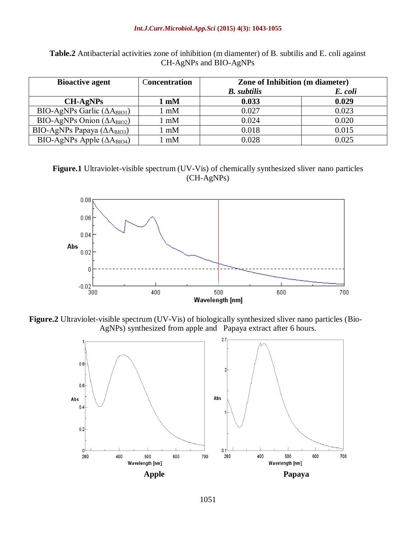#### *Int.J.Curr.Microbiol.App.Sci* **(2015) 4(3): 1043-1055**

| <b>Table.2</b> Antibacterial activities zone of inhibition (m diamenter) of B. subtilis and E. coli against |
|-------------------------------------------------------------------------------------------------------------|
| $CH-AgNPs$ and $BIO-AgNPs$                                                                                  |

| <b>Bioactive agent</b>                      | Concentration  | <b>Zone of Inhibition (m diameter)</b> |         |  |
|---------------------------------------------|----------------|----------------------------------------|---------|--|
|                                             |                | <b>B.</b> subtilis                     | E. coli |  |
| $CH-AgNPs$                                  | $1 \text{ mM}$ | 0.033                                  | 0.029   |  |
| BIO-AgNPs Garlic $(\Delta A_{\text{BIO1}})$ | mM             | 0.027                                  | 0.023   |  |
| BIO-AgNPs Onion $(\Delta A_{\text{BIO2}})$  | mM             | 0.024                                  | 0.020   |  |
| BIO-AgNPs Papaya $(\Delta A_{\text{BIO3}})$ | mM             | 0.018                                  | 0.015   |  |
| BIO-AgNPs Apple $(\Delta A_{\text{BIO4}})$  | mM             | 0.028                                  | 0.025   |  |

**Figure.1** Ultraviolet-visible spectrum (UV-Vis) of chemically synthesized sliver nano particles (CH-AgNPs)



**Figure.2** Ultraviolet-visible spectrum (UV-Vis) of biologically synthesized sliver nano particles (Bio-AgNPs) synthesized from apple and Papaya extract after 6 hours.

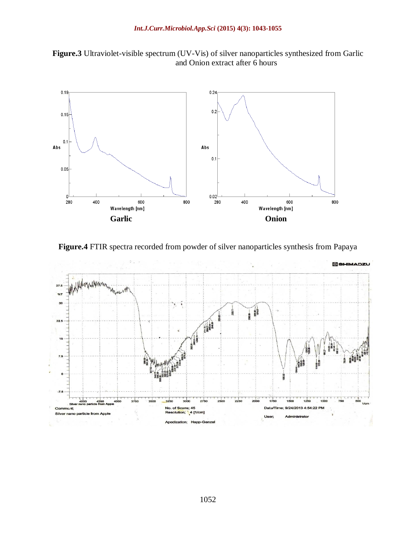



**Figure.4** FTIR spectra recorded from powder of silver nanoparticles synthesis from Papaya

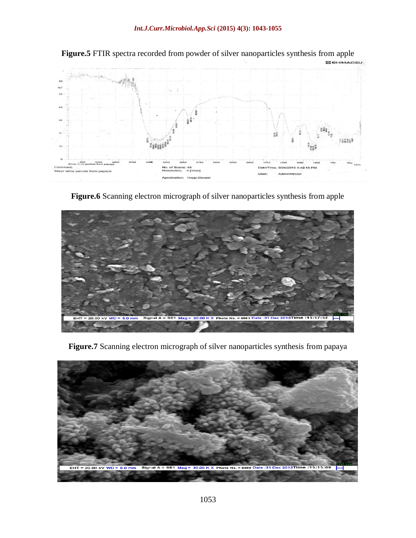

**Figure.5** FTIR spectra recorded from powder of silver nanoparticles synthesis from apple

**Figure.6** Scanning electron micrograph of silver nanoparticles synthesis from apple



**Figure.7** Scanning electron micrograph of silver nanoparticles synthesis from papaya

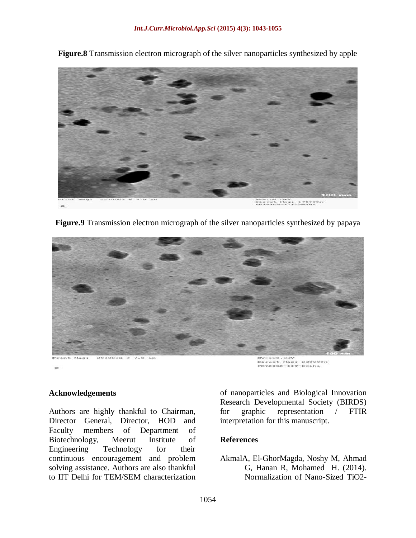HV=100.0kV<br>Direct Mag: 17500<br>PHYSICS-IIT-Delhi

**Figure.8** Transmission electron micrograph of the silver nanoparticles synthesized by apple

**Figure.9** Transmission electron micrograph of the silver nanoparticles synthesized by papaya



#### **Acknowledgements**

Authors are highly thankful to Chairman, Director General, Director, HOD and Faculty members of Department of Biotechnology, Meerut Institute of Engineering Technology for their continuous encouragement and problem solving assistance. Authors are also thankful to IIT Delhi for TEM/SEM characterization of nanoparticles and Biological Innovation Research Developmental Society (BIRDS) for graphic representation / FTIR interpretation for this manuscript.

#### **References**

AkmalA, El-GhorMagda, Noshy M, Ahmad G, Hanan R, Mohamed H. (2014). Normalization of Nano-Sized TiO2